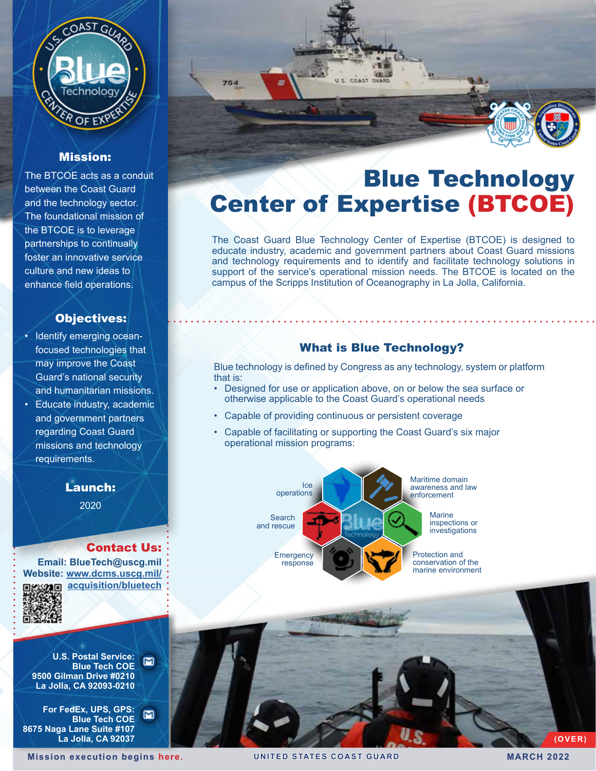

## Mission:

The BTCOE acts as a conduit between the Coast Guard and the technology sector. The foundational mission of the BTCOE is to leverage partnerships to continually foster an innovative service culture and new ideas to enhance field operations.

### Objectives:

- Identify emerging oceanfocused technologies that may improve the Coast Guard's national security and humanitarian missions.
- Educate industry, academic and government partners regarding Coast Guard missions and technology requirements.

2020

#### Contact Us:

**Email: BlueTech@uscg.mil Website: [www.dcms.uscg.mil/](http://www.dcms.uscg.mil/acquisition/bluetech ) [acquisition/bluetech](http://www.dcms.uscg.mil/acquisition/bluetech )**



**U.S. Postal Service:**   $\blacksquare$ **Blue Tech COE 9500 Gilman Drive #0210 La Jolla, CA 92093-0210**

**For FedEx, UPS, GPS:**  $\blacksquare$ **Blue Tech COE 8675 Naga Lane Suite #107 La Jolla, CA 92037**



# Blue Technology Center of Expertise (BTCOE)

The Coast Guard Blue Technology Center of Expertise (BTCOE) is designed to educate industry, academic and government partners about Coast Guard missions and technology requirements and to identify and facilitate technology solutions in support of the service's operational mission needs. The BTCOE is located on the campus of the Scripps Institution of Oceanography in La Jolla, California.

# What is Blue Technology?

Blue technology is defined by Congress as any technology, system or platform that is:

- Designed for use or application above, on or below the sea surface or otherwise applicable to the Coast Guard's operational needs
- Capable of providing continuous or persistent coverage
- Capable of facilitating or supporting the Coast Guard's six major operational mission programs:



**Mission execution be[gins](https://www.dcms.uscg.mil/Our-Organization/Assistant-Commandant-for-Acquisitions-CG-9/) here. UNITED STATES COAST GUARD MARCH 2022**

**(OVER)**